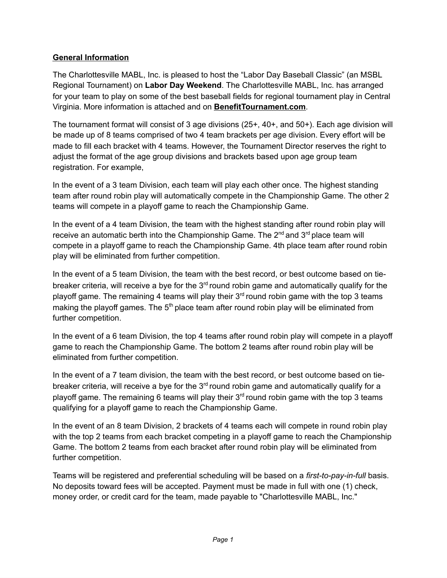#### **General Information**

The Charlottesville MABL, Inc. is pleased to host the "Labor Day Baseball Classic" (an MSBL Regional Tournament) on **Labor Day Weekend**. The Charlottesville MABL, Inc. has arranged for your team to play on some of the best baseball fields for regional tournament play in Central Virginia. More information is attached and on **BenefitTournament.com**.

The tournament format will consist of 3 age divisions (25+, 40+, and 50+). Each age division will be made up of 8 teams comprised of two 4 team brackets per age division. Every effort will be made to fill each bracket with 4 teams. However, the Tournament Director reserves the right to adjust the format of the age group divisions and brackets based upon age group team registration. For example,

In the event of a 3 team Division, each team will play each other once. The highest standing team after round robin play will automatically compete in the Championship Game. The other 2 teams will compete in a playoff game to reach the Championship Game.

In the event of a 4 team Division, the team with the highest standing after round robin play will receive an automatic berth into the Championship Game. The 2<sup>nd</sup> and 3<sup>rd</sup> place team will compete in a playoff game to reach the Championship Game. 4th place team after round robin play will be eliminated from further competition.

In the event of a 5 team Division, the team with the best record, or best outcome based on tiebreaker criteria, will receive a bye for the  $3<sup>rd</sup>$  round robin game and automatically qualify for the playoff game. The remaining 4 teams will play their  $3<sup>rd</sup>$  round robin game with the top 3 teams making the playoff games. The 5<sup>th</sup> place team after round robin play will be eliminated from further competition.

In the event of a 6 team Division, the top 4 teams after round robin play will compete in a playoff game to reach the Championship Game. The bottom 2 teams after round robin play will be eliminated from further competition.

In the event of a 7 team division, the team with the best record, or best outcome based on tiebreaker criteria, will receive a bye for the  $3<sup>rd</sup>$  round robin game and automatically qualify for a playoff game. The remaining 6 teams will play their  $3<sup>rd</sup>$  round robin game with the top 3 teams qualifying for a playoff game to reach the Championship Game.

In the event of an 8 team Division, 2 brackets of 4 teams each will compete in round robin play with the top 2 teams from each bracket competing in a playoff game to reach the Championship Game. The bottom 2 teams from each bracket after round robin play will be eliminated from further competition.

Teams will be registered and preferential scheduling will be based on a *first-to-pay-in-full* basis. No deposits toward fees will be accepted. Payment must be made in full with one (1) check, money order, or credit card for the team, made payable to "Charlottesville MABL, Inc."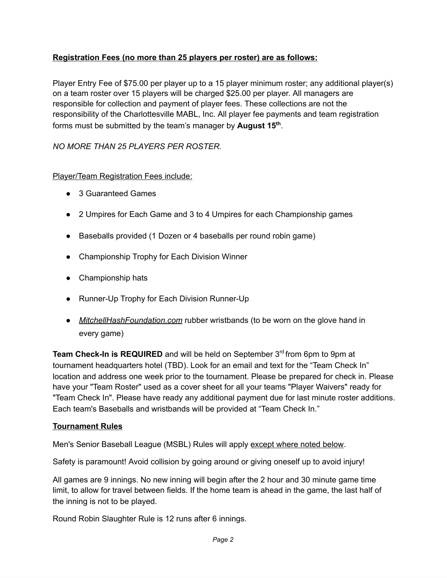# **Registration Fees (no more than 25 players per roster) are as follows:**

Player Entry Fee of \$75.00 per player up to a 15 player minimum roster; any additional player(s) on a team roster over 15 players will be charged \$25.00 per player. All managers are responsible for collection and payment of player fees. These collections are not the responsibility of the Charlottesville MABL, Inc. All player fee payments and team registration forms must be submitted by the team's manager by **August 15<sup>th</sup>**.

## *NO MORE THAN 25 PLAYERS PER ROSTER.*

# Player/Team Registration Fees include:

- 3 Guaranteed Games
- 2 Umpires for Each Game and 3 to 4 Umpires for each Championship games
- Baseballs provided (1 Dozen or 4 baseballs per round robin game)
- Championship Trophy for Each Division Winner
- Championship hats
- Runner-Up Trophy for Each Division Runner-Up
- *MitchellHashFoundation.com* rubber wristbands (to be worn on the glove hand in every game)

Team Check-In is REQUIRED and will be held on September 3<sup>rd</sup> from 6pm to 9pm at tournament headquarters hotel (TBD). Look for an email and text for the "Team Check In" location and address one week prior to the tournament. Please be prepared for check in. Please have your "Team Roster" used as a cover sheet for all your teams "Player Waivers" ready for "Team Check In". Please have ready any additional payment due for last minute roster additions. Each team's Baseballs and wristbands will be provided at "Team Check In."

## **Tournament Rules**

Men's Senior Baseball League (MSBL) Rules will apply except where noted below.

Safety is paramount! Avoid collision by going around or giving oneself up to avoid injury!

All games are 9 innings. No new inning will begin after the 2 hour and 30 minute game time limit, to allow for travel between fields. If the home team is ahead in the game, the last half of the inning is not to be played.

Round Robin Slaughter Rule is 12 runs after 6 innings.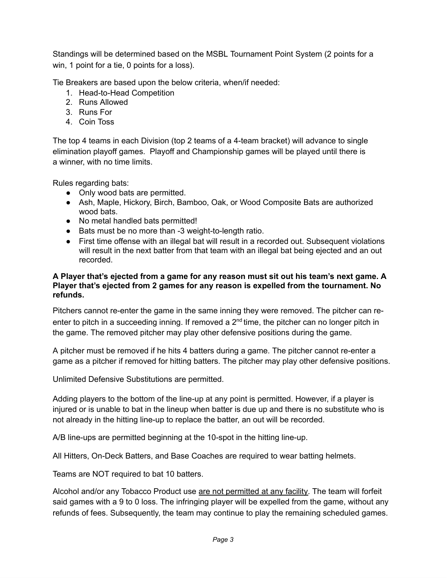Standings will be determined based on the MSBL Tournament Point System (2 points for a win, 1 point for a tie, 0 points for a loss).

Tie Breakers are based upon the below criteria, when/if needed:

- 1. Head-to-Head Competition
- 2. Runs Allowed
- 3. Runs For
- 4. Coin Toss

The top 4 teams in each Division (top 2 teams of a 4-team bracket) will advance to single elimination playoff games. Playoff and Championship games will be played until there is a winner, with no time limits.

Rules regarding bats:

- Only wood bats are permitted.
- Ash, Maple, Hickory, Birch, Bamboo, Oak, or Wood Composite Bats are authorized wood bats.
- No metal handled bats permitted!
- Bats must be no more than -3 weight-to-length ratio.
- First time offense with an illegal bat will result in a recorded out. Subsequent violations will result in the next batter from that team with an illegal bat being ejected and an out recorded.

#### **A Player that's ejected from a game for any reason must sit out his team's next game. A Player that's ejected from 2 games for any reason is expelled from the tournament. No refunds.**

Pitchers cannot re-enter the game in the same inning they were removed. The pitcher can reenter to pitch in a succeeding inning. If removed a  $2<sup>nd</sup>$  time, the pitcher can no longer pitch in the game. The removed pitcher may play other defensive positions during the game.

A pitcher must be removed if he hits 4 batters during a game. The pitcher cannot re-enter a game as a pitcher if removed for hitting batters. The pitcher may play other defensive positions.

Unlimited Defensive Substitutions are permitted.

Adding players to the bottom of the line-up at any point is permitted. However, if a player is injured or is unable to bat in the lineup when batter is due up and there is no substitute who is not already in the hitting line-up to replace the batter, an out will be recorded.

A/B line-ups are permitted beginning at the 10-spot in the hitting line-up.

All Hitters, On-Deck Batters, and Base Coaches are required to wear batting helmets.

Teams are NOT required to bat 10 batters.

Alcohol and/or any Tobacco Product use are not permitted at any facility. The team will forfeit said games with a 9 to 0 loss. The infringing player will be expelled from the game, without any refunds of fees. Subsequently, the team may continue to play the remaining scheduled games.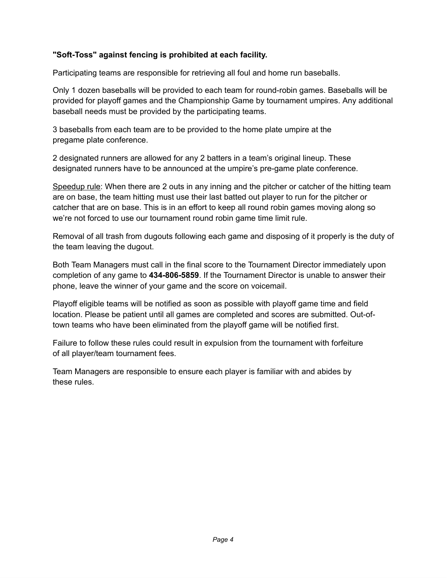## **"Soft-Toss" against fencing is prohibited at each facility.**

Participating teams are responsible for retrieving all foul and home run baseballs.

Only 1 dozen baseballs will be provided to each team for round-robin games. Baseballs will be provided for playoff games and the Championship Game by tournament umpires. Any additional baseball needs must be provided by the participating teams.

3 baseballs from each team are to be provided to the home plate umpire at the pregame plate conference.

2 designated runners are allowed for any 2 batters in a team's original lineup. These designated runners have to be announced at the umpire's pre-game plate conference.

Speedup rule: When there are 2 outs in any inning and the pitcher or catcher of the hitting team are on base, the team hitting must use their last batted out player to run for the pitcher or catcher that are on base. This is in an effort to keep all round robin games moving along so we're not forced to use our tournament round robin game time limit rule.

Removal of all trash from dugouts following each game and disposing of it properly is the duty of the team leaving the dugout.

Both Team Managers must call in the final score to the Tournament Director immediately upon completion of any game to **434-806-5859**. If the Tournament Director is unable to answer their phone, leave the winner of your game and the score on voicemail.

Playoff eligible teams will be notified as soon as possible with playoff game time and field location. Please be patient until all games are completed and scores are submitted. Out-oftown teams who have been eliminated from the playoff game will be notified first.

Failure to follow these rules could result in expulsion from the tournament with forfeiture of all player/team tournament fees.

Team Managers are responsible to ensure each player is familiar with and abides by these rules.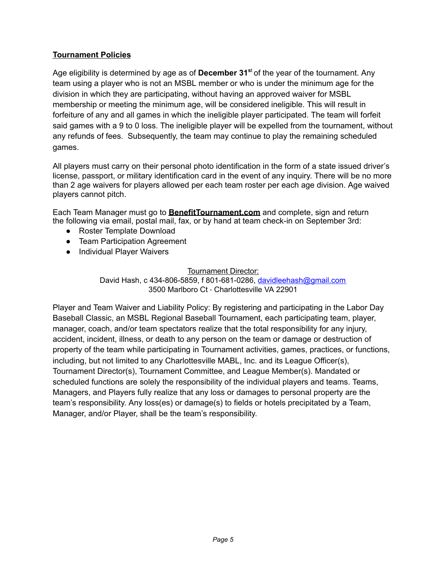## **Tournament Policies**

Age eligibility is determined by age as of **December 31 <sup>s</sup>**<sup>t</sup> of the year of the tournament. Any team using a player who is not an MSBL member or who is under the minimum age for the division in which they are participating, without having an approved waiver for MSBL membership or meeting the minimum age, will be considered ineligible. This will result in forfeiture of any and all games in which the ineligible player participated. The team will forfeit said games with a 9 to 0 loss. The ineligible player will be expelled from the tournament, without any refunds of fees. Subsequently, the team may continue to play the remaining scheduled games.

All players must carry on their personal photo identification in the form of a state issued driver's license, passport, or military identification card in the event of any inquiry. There will be no more than 2 age waivers for players allowed per each team roster per each age division. Age waived players cannot pitch.

Each Team Manager must go to **BenefitTournament.com** and complete, sign and return the following via email, postal mail, fax, or by hand at team check-in on September 3rd:

- Roster Template Download
- Team Participation Agreement
- Individual Player Waivers

Tournament Director:

David Hash, c 434-806-5859, f 801-681-0286, [davidleehash@gmail.com](mailto:davidleehash@gmail.com) 3500 Marlboro Ct · Charlottesville VA 22901

Player and Team Waiver and Liability Policy: By registering and participating in the Labor Day Baseball Classic, an MSBL Regional Baseball Tournament, each participating team, player, manager, coach, and/or team spectators realize that the total responsibility for any injury, accident, incident, illness, or death to any person on the team or damage or destruction of property of the team while participating in Tournament activities, games, practices, or functions, including, but not limited to any Charlottesville MABL, Inc. and its League Officer(s), Tournament Director(s), Tournament Committee, and League Member(s). Mandated or scheduled functions are solely the responsibility of the individual players and teams. Teams, Managers, and Players fully realize that any loss or damages to personal property are the team's responsibility. Any loss(es) or damage(s) to fields or hotels precipitated by a Team, Manager, and/or Player, shall be the team's responsibility.